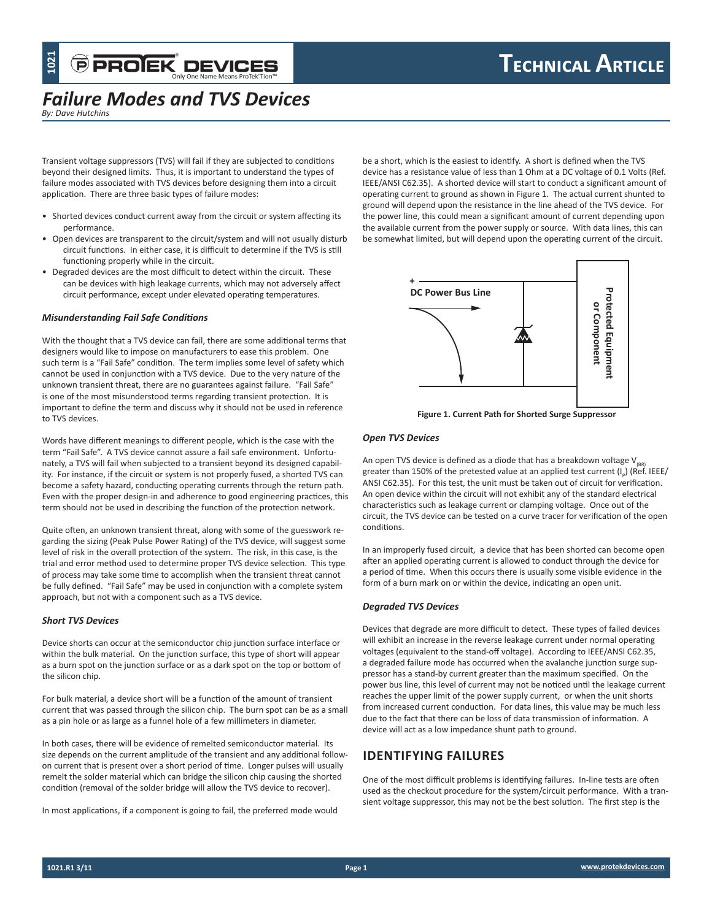## *Failure Modes and TVS Devices*

*By: Dave Hutchins*

Transient voltage suppressors (TVS) will fail if they are subjected to conditions beyond their designed limits. Thus, it is important to understand the types of failure modes associated with TVS devices before designing them into a circuit application. There are three basic types of failure modes:

- Shorted devices conduct current away from the circuit or system affecting its performance.
- Open devices are transparent to the circuit/system and will not usually disturb circuit functions. In either case, it is difficult to determine if the TVS is still functioning properly while in the circuit.
- Degraded devices are the most difficult to detect within the circuit. These can be devices with high leakage currents, which may not adversely affect circuit performance, except under elevated operating temperatures.

### *Misunderstanding Fail Safe Conditions*

With the thought that a TVS device can fail, there are some additional terms that designers would like to impose on manufacturers to ease this problem. One such term is a "Fail Safe" condition. The term implies some level of safety which cannot be used in conjunction with a TVS device. Due to the very nature of the unknown transient threat, there are no guarantees against failure. "Fail Safe" is one of the most misunderstood terms regarding transient protection. It is important to define the term and discuss why it should not be used in reference to TVS devices.

Words have different meanings to different people, which is the case with the term "Fail Safe". A TVS device cannot assure a fail safe environment. Unfortunately, a TVS will fail when subjected to a transient beyond its designed capability. For instance, if the circuit or system is not properly fused, a shorted TVS can become a safety hazard, conducting operating currents through the return path. Even with the proper design-in and adherence to good engineering practices, this term should not be used in describing the function of the protection network.

Quite often, an unknown transient threat, along with some of the guesswork regarding the sizing (Peak Pulse Power Rating) of the TVS device, will suggest some level of risk in the overall protection of the system. The risk, in this case, is the trial and error method used to determine proper TVS device selection. This type of process may take some time to accomplish when the transient threat cannot be fully defined. "Fail Safe" may be used in conjunction with a complete system approach, but not with a component such as a TVS device.

## *Short TVS Devices*

Device shorts can occur at the semiconductor chip junction surface interface or within the bulk material. On the junction surface, this type of short will appear as a burn spot on the junction surface or as a dark spot on the top or bottom of the silicon chip.

For bulk material, a device short will be a function of the amount of transient current that was passed through the silicon chip. The burn spot can be as a small as a pin hole or as large as a funnel hole of a few millimeters in diameter.

In both cases, there will be evidence of remelted semiconductor material. Its size depends on the current amplitude of the transient and any additional followon current that is present over a short period of time. Longer pulses will usually remelt the solder material which can bridge the silicon chip causing the shorted condition (removal of the solder bridge will allow the TVS device to recover).

In most applications, if a component is going to fail, the preferred mode would

be a short, which is the easiest to identify. A short is defined when the TVS device has a resistance value of less than 1 Ohm at a DC voltage of 0.1 Volts (Ref. IEEE/ANSI C62.35). A shorted device will start to conduct a significant amount of operating current to ground as shown in Figure 1. The actual current shunted to ground will depend upon the resistance in the line ahead of the TVS device. For the power line, this could mean a significant amount of current depending upon the available current from the power supply or source. With data lines, this can be somewhat limited, but will depend upon the operating current of the circuit.



#### *Open TVS Devices*

An open TVS device is defined as a diode that has a breakdown voltage  $V_{\text{R}}$ greater than 150% of the pretested value at an applied test current (I<sub>p</sub>) (Ref. IEEE/ ANSI C62.35). For this test, the unit must be taken out of circuit for verification. An open device within the circuit will not exhibit any of the standard electrical characteristics such as leakage current or clamping voltage. Once out of the circuit, the TVS device can be tested on a curve tracer for verification of the open conditions.

In an improperly fused circuit, a device that has been shorted can become open after an applied operating current is allowed to conduct through the device for a period of time. When this occurs there is usually some visible evidence in the form of a burn mark on or within the device, indicating an open unit.

#### *Degraded TVS Devices*

Devices that degrade are more difficult to detect. These types of failed devices will exhibit an increase in the reverse leakage current under normal operating voltages (equivalent to the stand-off voltage). According to IEEE/ANSI C62.35, a degraded failure mode has occurred when the avalanche junction surge suppressor has a stand-by current greater than the maximum specified. On the power bus line, this level of current may not be noticed until the leakage current reaches the upper limit of the power supply current, or when the unit shorts from increased current conduction. For data lines, this value may be much less due to the fact that there can be loss of data transmission of information. A device will act as a low impedance shunt path to ground.

## **Identifying Failures**

One of the most difficult problems is identifying failures. In-line tests are often used as the checkout procedure for the system/circuit performance. With a transient voltage suppressor, this may not be the best solution. The first step is the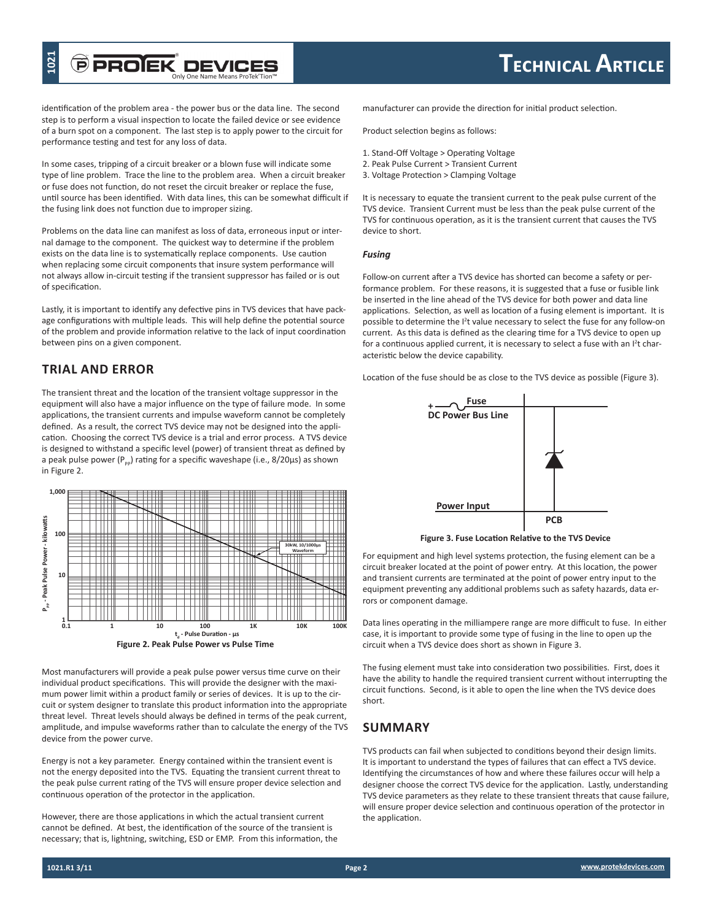# Only One Name Means ProTek'Tion™

identification of the problem area - the power bus or the data line. The second step is to perform a visual inspection to locate the failed device or see evidence of a burn spot on a component. The last step is to apply power to the circuit for performance testing and test for any loss of data.

In some cases, tripping of a circuit breaker or a blown fuse will indicate some type of line problem. Trace the line to the problem area. When a circuit breaker or fuse does not function, do not reset the circuit breaker or replace the fuse, until source has been identified. With data lines, this can be somewhat difficult if the fusing link does not function due to improper sizing.

Problems on the data line can manifest as loss of data, erroneous input or internal damage to the component. The quickest way to determine if the problem exists on the data line is to systematically replace components. Use caution when replacing some circuit components that insure system performance will not always allow in-circuit testing if the transient suppressor has failed or is out of specification.

Lastly, it is important to identify any defective pins in TVS devices that have package configurations with multiple leads. This will help define the potential source of the problem and provide information relative to the lack of input coordination between pins on a given component.

## **Trial and Error**

The transient threat and the location of the transient voltage suppressor in the equipment will also have a major influence on the type of failure mode. In some applications, the transient currents and impulse waveform cannot be completely defined. As a result, the correct TVS device may not be designed into the application. Choosing the correct TVS device is a trial and error process. A TVS device is designed to withstand a specific level (power) of transient threat as defined by a peak pulse power ( $P_{\text{pp}}$ ) rating for a specific waveshape (i.e., 8/20µs) as shown in Figure 2.



Most manufacturers will provide a peak pulse power versus time curve on their individual product specifications. This will provide the designer with the maximum power limit within a product family or series of devices. It is up to the circuit or system designer to translate this product information into the appropriate threat level. Threat levels should always be defined in terms of the peak current, amplitude, and impulse waveforms rather than to calculate the energy of the TVS device from the power curve.

Energy is not a key parameter. Energy contained within the transient event is not the energy deposited into the TVS. Equating the transient current threat to the peak pulse current rating of the TVS will ensure proper device selection and continuous operation of the protector in the application.

However, there are those applications in which the actual transient current cannot be defined. At best, the identification of the source of the transient is necessary; that is, lightning, switching, ESD or EMP. From this information, the manufacturer can provide the direction for initial product selection.

Product selection begins as follows:

- 1. Stand-Off Voltage > Operating Voltage
- 2. Peak Pulse Current > Transient Current
- 3. Voltage Protection > Clamping Voltage

It is necessary to equate the transient current to the peak pulse current of the TVS device. Transient Current must be less than the peak pulse current of the TVS for continuous operation, as it is the transient current that causes the TVS device to short.

## *Fusing*

Follow-on current after a TVS device has shorted can become a safety or performance problem. For these reasons, it is suggested that a fuse or fusible link be inserted in the line ahead of the TVS device for both power and data line applications. Selection, as well as location of a fusing element is important. It is possible to determine the <sup>12</sup>t value necessary to select the fuse for any follow-on current. As this data is defined as the clearing time for a TVS device to open up for a continuous applied current, it is necessary to select a fuse with an l<sup>2</sup>t characteristic below the device capability.

Location of the fuse should be as close to the TVS device as possible (Figure 3).



**Figure 3. Fuse Location Relative to the TVS Device**

For equipment and high level systems protection, the fusing element can be a circuit breaker located at the point of power entry. At this location, the power and transient currents are terminated at the point of power entry input to the equipment preventing any additional problems such as safety hazards, data errors or component damage.

Data lines operating in the milliampere range are more difficult to fuse. In either case, it is important to provide some type of fusing in the line to open up the circuit when a TVS device does short as shown in Figure 3.

The fusing element must take into consideration two possibilities. First, does it have the ability to handle the required transient current without interrupting the circuit functions. Second, is it able to open the line when the TVS device does short.

## **Summary**

TVS products can fail when subjected to conditions beyond their design limits. It is important to understand the types of failures that can effect a TVS device. Identifying the circumstances of how and where these failures occur will help a designer choose the correct TVS device for the application. Lastly, understanding TVS device parameters as they relate to these transient threats that cause failure, will ensure proper device selection and continuous operation of the protector in the application.